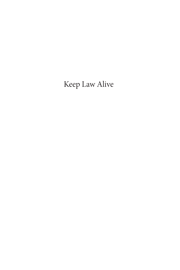# Keep Law Alive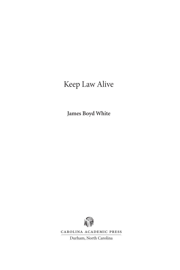# Keep Law Alive

**James Boyd White**



Carolina Academic Press

Durham, North Carolina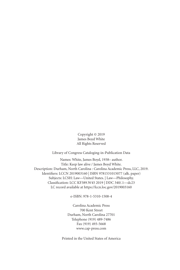Copyright © 2019 James Boyd White All Rights Reserved

Library of Congress Cataloging-in-Publication Data

Names: White, James Boyd, 1938– author. Title: Keep law alive / James Boyd White. Description: Durham, North Carolina : Carolina Academic Press, LLC, 2019. Identifiers: LCCN 2019003160 | ISBN 9781531015077 (alk. paper) Subjects: LCSH: Law—United States. | Law—Philosophy. Classification: LCC KF389.W45 2019 | DDC 340/.1—dc23 LC record available at https://lccn.loc.gov/2019003160

e-ISBN: 978-1-5310-1508-4

Carolina Academic Press 700 Kent Street Durham, North Carolina 27701 Telephone (919) 489-7486 Fax (919) 493-5668 www.cap-press.com

Printed in the United States of America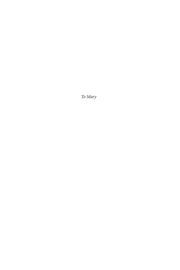*To Mary*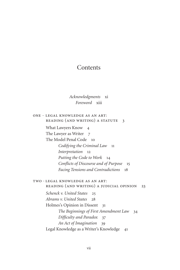# **Contents**

# *Acknowledgments* xi *Foreword* xiii

ONE + LEGAL KNOWLEDGE AS AN ART: Reading (and Writing) a Statute 3

What Lawyers Know 4

The Lawyer as Writer 7

The Model Penal Code 10

*Codifying the Criminal Law* 11 *Interpretation* 12 *Putting the Code to Work* 14 *Conflicts of Discourse and of Purpose* 15 *Facing Tensions and Contradictions* 18

## two % Legal Knowledge as an Art: Reading (and Writing) a Judicial Opinion 23

*Schenck v. United States* 25 *Abrams v. United States* 28 Holmes's Opinion in Dissent 31 *The Beginnings of First Amendment Law* 34 *Difficulty and Paradox* 37 *An Act of Imagination* 39 Legal Knowledge as a Writer's Knowledge 41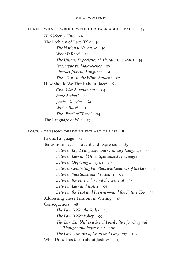# THREE  $*$  WHAT'S WRONG WITH OUR TALK ABOUT RACE? 45

*Huckleberry Finn* 46 The Problem of Race-Talk 48 *The National Narrative* 50 *What Is Race?* 52 *The Unique Experience of African Americans* 54 *Stereotype vs. Malevolence* 58 *Abstract Judicial Language* 61 *The "Cost" to the White Student* 62 How Should We Think about Race? 63 *Civil War Amendments* 64  *"State Action"* 66 *Justice Douglas* 69 *Which Race?* 71 *The "Fact" of "Race"* 74

The Language of War 75

### FOUR  $+$  TENSIONS DEFINING THE ART OF LAW 81

Law as Language 82

Tensions in Legal Thought and Expression 85 *Between Legal Language and Ordinary Language* 85 *Between Law and Other Specialized Languages* 88 *Between Opposing Lawyers* 89 *Between Competing but Plausible Readings of the Law* 91 *Between Substance and Procedure* 93 *Between the Particular and the General* 94 *Between Law and Justice* 95 *Between the Past and Present—and the Future Too* 97 Addressing These Tensions in Writing 97 Consequences 98 *The Law Is Not the Rules* 98 *The Law Is Not Policy* 99 *The Law Establishes a Set of Possibilities for Original Thought and Expression* 100 *The Law Is an Art of Mind and Language* 102 What Does This Mean about Justice? 103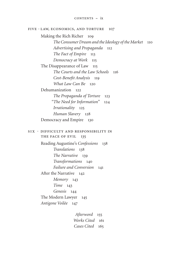#### five % Law, Economics, and Torture 107

Making the Rich Richer 109 *The Consumer Dream and the Ideology of the Market* 110 *Advertising and Propaganda* 112 *The Fact of Empire* 113 *Democracy at Work* 115 The Disappearance of Law 115 *The Courts and the Law Schools* 116 *Cost-Benefit Analysis* 119 *What Law Can Be* 120 Dehumanization 122 *The Propaganda of Torture* 123  *"The Need for Information"* 124 *Irrationality* 125 *Human Slavery* 128 Democracy and Empire 130  $SIX + DIFFICULTY AND RESPONSIBILITY IN$ THE FACE OF EVIL 135 Reading Augustine's *Confessions* 138 *Translations* 138 *The Narrative* 139 *Transformations* 140 *Failure and Conversion* 141 After the Narrative 142 *Memory* 143 *Time* 143 *Genesis* 144 The Modern Lawyer 145 *Antigone Voilée* 147

> *Afterword* 155 *Works Cited* 161 *Cases Cited* 165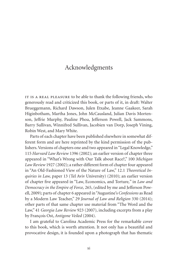# Acknowledgments

IT IS A REAL PLEASURE to be able to thank the following friends, who generously read and criticized this book, or parts of it, in draft: Walter Brueggemann, Richard Dawson, Julen Etxabe, Jeanne Gaakeer, Sarah Higinbotham, Martha Jones, John McCausland, Julian Davis Mortenson, Jeffrie Murphy, Pauline Phoa, Jefferson Powell, Jack Sammons, Barry Sullivan, Winnifred Sullivan, Jacobien van Dorp, Joseph Vining, Robin West, and Mary White.

Parts of each chapter have been published elsewhere in somewhat different form and are here reprinted by the kind permission of the publishers. Versions of chapters one and two appeared in "Legal Knowledge," 115 *Harvard Law Review* 1396 (2002); an earlier version of chapter three appeared in "What's Wrong with Our Talk about Race?," 100 *Michigan Law Review* 1927 (2002); a rather different form of chapter four appeared in "An Old-Fashioned View of the Nature of Law," 12.1 *Theoretical Inquiries in Law,* paper 13 (Tel Aviv University) (2010); an earlier version of chapter five appeared in "Law, Economics, and Torture*,*" in *Law and Democracy in the Empire of Force,* 265, (edited by me and Jefferson Powell, 2009); parts of chapter 6 appeared in "Augustine's *Confessions* as Read by a Modern Law Teacher," 29 *Journal of Law and Religion* 330 (2014); other parts of that same chapter use material from "The Word and the Law," 41 *Georgia Law Review* 923 (2007), including excerpts from a play by François Ost, *Antigone Veiled* (2004).

I am grateful to Carolina Academic Press for the remarkable cover to this book, which is worth attention. It not only has a beautiful and provocative design, it is founded upon a photograph that has thematic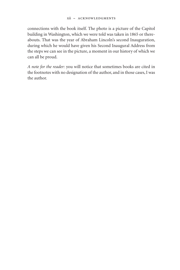connections with the book itself. The photo is a picture of the Capitol building in Washington, which we were told was taken in 1865 or thereabouts. That was the year of Abraham Lincoln's second Inauguration, during which he would have given his Second Inaugural Address from the steps we can see in the picture, a moment in our history of which we can all be proud.

*A note for the reader:* you will notice that sometimes books are cited in the footnotes with no designation of the author, and in those cases, I was the author.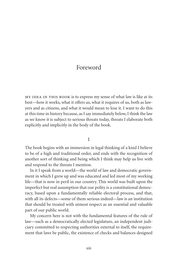# Foreword

MY IDEA IN THIS BOOK is to express my sense of what law is like at its best—how it works, what it offers us, what it requires of us, both as lawyers and as citizens, and what it would mean to lose it. I want to do this at this time in history because, as I say immediately below, I think the law as we know it is subject to serious threats today, threats I elaborate both explicitly and implicitly in the body of the book.

## 1

The book begins with an immersion in legal thinking of a kind I believe to be of a high and traditional order, and ends with the recognition of another sort of thinking and being which I think may help us live with and respond to the threats I mention.

In it I speak from a world—the world of law and democratic government in which I grew up and was educated and led most of my working life—that is now in peril in our country. This world was built upon the imperfect but real assumption that our polity is a constitutional democracy, based upon a fundamentally reliable electoral process, and that, with all its defects—some of them serious indeed—law is an institution that should be treated with utmost respect as an essential and valuable part of our public world.

My concern here is not with the fundamental features of the rule of law—such as a democratically elected legislature, an independent judiciary committed to respecting authorities external to itself, the requirement that laws be public, the existence of checks and balances designed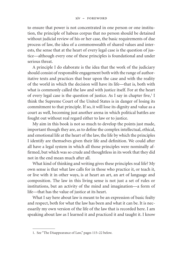to ensure that power is not concentrated in one person or one institution, the principle of habeas corpus that no person should be detained without judicial review of his or her case, the basic requirements of due process of law, the idea of a commonwealth of shared values and interests, the sense that at the heart of every legal case is the question of justice—although every one of these principles is foundational and under serious threat.

A principle I do elaborate is the idea that the work of the judiciary should consist of responsible engagement both with the range of authoritative texts and practices that bear upon the case and with the reality of the world in which the decision will have its life—that is, both with what is commonly called the law and with justice itself. For at the heart of every legal case is the question of justice. As I say in chapter five,<sup>1</sup> I think the Supreme Court of the United States is in danger of losing its commitment to that principle. If so, it will lose its dignity and value as a court as well, becoming just another arena in which political battles are fought out without real regard either to law or to justice.

My aim in this book is not so much to develop the points just made, important though they are, as to define the complex intellectual, ethical, and emotional life at the heart of the law, the life by which the principles I identify are themselves given their life and definition. We could after all have a legal system in which all those principles were nominally affirmed, but which was so crude and thoughtless in its work that they did not in the end mean much after all.

What kind of thinking and writing gives these principles real life? My own sense is that what law calls for in those who practice it, or teach it, or live with it in other ways, is at heart an art, an art of language and composition. The law in this living sense is not just a set of rules or institutions, but an activity of the mind and imagination—a form of life—that has the value of justice at its heart.

What I say here about law is meant to be an expression of basic fealty and respect, both for what the law has been and what it can be. It is necessarily my own version of the life of the law that is recorded here. I am speaking about law as I learned it and practiced it and taught it. I know

<sup>1.</sup> See "The Disappearance of Law," pages 115–22 below.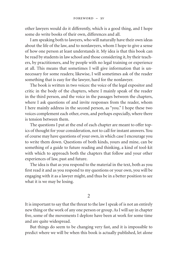other lawyers would do it differently, which is a good thing, and I hope some do write books of their own, differences and all.

I am speaking both to lawyers, who will naturally have their own ideas about the life of the law, and to nonlawyers, whom I hope to give a sense of how one person at least understands it. My idea is that this book can be read by students in law school and those considering it, by their teachers, by practitioners, and by people with no legal training or experience at all. This means that sometimes I will give information that is unnecessary for some readers; likewise, I will sometimes ask of the reader something that is easy for the lawyer, hard for the nonlawyer.

The book is written in two voices: the voice of the legal expositor and critic in the body of the chapters, where I mainly speak of the reader in the third person, and the voice in the passages between the chapters, where I ask questions of and invite responses from the reader, whom I here mainly address in the second person, as "you." I hope these two voices complement each other, even, and perhaps especially, where there is tension between them.

The questions I put at the end of each chapter are meant to offer topics of thought for your consideration, not to call for instant answers. You of course may have questions of your own, in which case I encourage you to write them down. Questions of both kinds, yours and mine, can be something of a guide to future reading and thinking, a kind of tool-kit with which to approach both the chapters that follow and your other experiences of law, past and future.

The idea is that as you respond to the material in the text, both as you first read it and as you respond to my questions or your own, you will be engaging with it as a lawyer might, and thus be in a better position to see what it is we may be losing.

### 2

It is important to say that the threat to the law I speak of is not an entirely new thing or the work of any one person or group. As I will say in chapter five, some of the movements I deplore have been at work for some time and are quite widespread.

But things do seem to be changing very fast, and it is impossible to predict where we will be when this book is actually published, let alone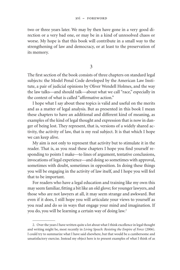two or three years later. We may by then have gone in a very good direction or a very bad one, or may be in a kind of unresolved chaos or worse. My hope is that this book will contribute in a small way to the strengthening of law and democracy, or at least to the preservation of its memory.

3

The first section of the book consists of three chapters on standard legal subjects: the Model Penal Code developed by the American Law Institute, a pair of judicial opinions by Oliver Wendell Holmes, and the way the law talks—and should talk—about what we call "race," especially in the context of what is called "affirmative action."

I hope what I say about these topics is valid and useful on the merits and as a matter of legal analysis. But as presented in this book I mean these chapters to have an additional and different kind of meaning, as examples of the kind of legal thought and expression that is now in danger of being lost. They represent, that is, versions of a widely shared activity, the activity of law, that is my real subject. It is that which I hope we can keep alive.

My aim is not only to represent that activity but to stimulate it in the reader. That is, as you read these chapters I hope you find yourself responding to points I make—to lines of argument, tentative conclusions, invocations of legal experience—and doing so sometimes with approval, sometimes with doubt, sometimes in opposition. In doing these things you will be engaging in the activity of law itself, and I hope you will feel that to be important.

For readers who have a legal education and training like my own this may seem familiar, fitting a bit like an old glove; for younger lawyers, and those who are not lawyers at all, it may seem strange and awkward. But even if it does, I still hope you will articulate your views to yourself as you read and do so in ways that engage your mind and imagination. If you do, you will be learning a certain way of doing law.<sup>2</sup>

<sup>2.</sup> Over the years I have written quite a lot about what I think excellence in legal thought and writing might be, most recently in *Living Speech: Resisting the Empire of Force* (2006). I could try to summarize what I have said elsewhere, but that would be a cumbersome and unsatisfactory exercise. Instead my object here is to present examples of what I think of as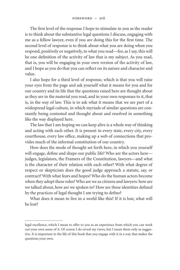The first level of the response I hope to stimulate in you as the reader is to think about the substantive legal questions I discuss, engaging with me as a fellow lawyer, even if you are doing this for the first time. The second level of response is to think about what you are doing when you respond, positively or negatively, to what you read—for, as I say, this will be one definition of the activity of law that is my subject. As you read, that is, you will be engaging in your own version of the activity of law, and I hope as you do that you can reflect on its nature and character and value.

I also hope for a third level of response, which is that you will raise your eyes from the page and ask yourself what it means for you and for our country and its life that the questions raised here are thought about as they are in the material you read, and in your own responses to it, that is, in the way of law. This is to ask what it means that we are part of a widespread legal culture, in which myriads of similar questions are constantly being contested and thought about and resolved in something like the way displayed here.

The law that I am hoping we can keep alive is a whole way of thinking and acting with each other. It is present in every state, every city, every courthouse, every law office, making up a web of connections that provides much of the informal constitution of our country.

How does the mode of thought set forth here, in which you yourself will engage, define and shape our public life? Who are the actors here judges, legislators, the Framers of the Constitution, lawyers—and what is the character of their relation with each other? With what degree of respect or skepticism does the good judge approach a statute, say, or contract? With what fears and hopes? Who do the human actors become when they adopt these roles? Who are we as citizens and lawyers: how are we talked about, how are we spoken to? How are these identities defined by the practices of legal thought I am trying to define?

What does it mean to live in a world like this? If it is lost, what will be lost?

legal excellence, which I mean to offer to you as an experience from which you can work out your own sense of it. Of course I do reveal my views, but I mean them only as suggestive. It is important to the life of this book that you engage with it in a way that makes the questions your own.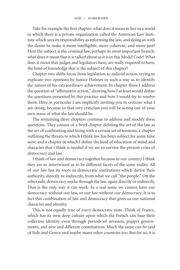Take for example the first chapter: what does it mean to live in a world in which there is a private organization called the American Law Institute which sees its responsibility as reforming the law, and doing so with the desire to make it more intelligible, more coherent, and more just? Here the subject is the criminal law, perhaps its most important branch: what does it mean that it is talked about as it is in this Model Code? What does it mean that judges and legislators have, are really required to have, the kind of knowledge that is the subject of this chapter?

Chapter two shifts focus from legislation to judicial action, trying to explicate two opinions by Justice Holmes in such a way as to identify the nature of his extraordinary achievement. In chapter three I address the question of "affirmative action," showing how I at least would define the questions presented by this practice and how I would try to resolve them. Here in particular I am implicitly inviting you to criticize what I am doing, because in that very criticism you will be acting out of your own sense of what the law should be.

The remaining three chapters continue to address and modify these questions. They consist of a brief chapter defining the art of the law as the art of confronting and living with a certain set of tensions; a chapter outlining the threats to which I think law has been subject for some time now; and a chapter in which I define the kind of education of mind and character that I think is needed if we are to survive the present crisis of democracy and law.

I think of law and democracy together because in our country I think they are so intertwined as to be different facets of the same reality. All of our law has its roots in democratic institutions which derive their authority, directly or indirectly, from what we call "the people." On the other side, democracy works through the law, again directly or indirectly. That is the only way it can work. In a real sense we cannot have our democracy without our law, or our law without our democracy. It is in fact this combination of law and democracy that gives us our national character and identity.

This is not equally true of every democratic state. Think of France, which has its own deep culture upon which the French can base their collective identity even through periods of invasion, puppet governments, and new and different constitutions. Much the same can be said of Italy and Greece and maybe many other countries too. But for us, it is